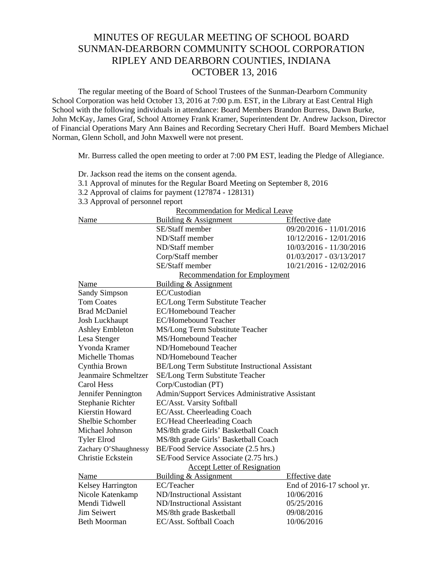## MINUTES OF REGULAR MEETING OF SCHOOL BOARD SUNMAN-DEARBORN COMMUNITY SCHOOL CORPORATION RIPLEY AND DEARBORN COUNTIES, INDIANA OCTOBER 13, 2016

The regular meeting of the Board of School Trustees of the Sunman-Dearborn Community School Corporation was held October 13, 2016 at 7:00 p.m. EST, in the Library at East Central High School with the following individuals in attendance: Board Members Brandon Burress, Dawn Burke, John McKay, James Graf, School Attorney Frank Kramer, Superintendent Dr. Andrew Jackson, Director of Financial Operations Mary Ann Baines and Recording Secretary Cheri Huff. Board Members Michael Norman, Glenn Scholl, and John Maxwell were not present.

Dr. Jackson read the items on the consent agenda.

Mr. Burress called the open meeting to order at 7:00 PM EST, leading the Pledge of Allegiance.

| 3.1 Approval of minutes for the Regular Board Meeting on September 8, 2016 |                                                 |                           |  |  |
|----------------------------------------------------------------------------|-------------------------------------------------|---------------------------|--|--|
| 3.2 Approval of claims for payment (127874 - 128131)                       |                                                 |                           |  |  |
| 3.3 Approval of personnel report                                           |                                                 |                           |  |  |
| <b>Recommendation for Medical Leave</b>                                    |                                                 |                           |  |  |
| Name                                                                       | Building & Assignment                           | Effective date            |  |  |
|                                                                            | SE/Staff member                                 | 09/20/2016 - 11/01/2016   |  |  |
|                                                                            | ND/Staff member                                 | 10/12/2016 - 12/01/2016   |  |  |
|                                                                            | ND/Staff member                                 | 10/03/2016 - 11/30/2016   |  |  |
|                                                                            | Corp/Staff member                               | 01/03/2017 - 03/13/2017   |  |  |
|                                                                            | SE/Staff member                                 | 10/21/2016 - 12/02/2016   |  |  |
| <b>Recommendation for Employment</b>                                       |                                                 |                           |  |  |
| Name                                                                       | Building & Assignment                           |                           |  |  |
| <b>Sandy Simpson</b>                                                       | EC/Custodian                                    |                           |  |  |
| <b>Tom Coates</b>                                                          | EC/Long Term Substitute Teacher                 |                           |  |  |
| <b>Brad McDaniel</b>                                                       | <b>EC/Homebound Teacher</b>                     |                           |  |  |
| Josh Luckhaupt                                                             | <b>EC/Homebound Teacher</b>                     |                           |  |  |
| <b>Ashley Embleton</b>                                                     | MS/Long Term Substitute Teacher                 |                           |  |  |
| Lesa Stenger                                                               | MS/Homebound Teacher                            |                           |  |  |
| Yvonda Kramer                                                              | ND/Homebound Teacher                            |                           |  |  |
| Michelle Thomas                                                            | ND/Homebound Teacher                            |                           |  |  |
| Cynthia Brown                                                              | BE/Long Term Substitute Instructional Assistant |                           |  |  |
| Jeanmaire Schmeltzer                                                       | SE/Long Term Substitute Teacher                 |                           |  |  |
| <b>Carol Hess</b>                                                          | Corp/Custodian (PT)                             |                           |  |  |
| Jennifer Pennington                                                        | Admin/Support Services Administrative Assistant |                           |  |  |
| Stephanie Richter                                                          | EC/Asst. Varsity Softball                       |                           |  |  |
| Kierstin Howard                                                            | EC/Asst. Cheerleading Coach                     |                           |  |  |
| Shelbie Schomber                                                           | EC/Head Cheerleading Coach                      |                           |  |  |
| Michael Johnson                                                            | MS/8th grade Girls' Basketball Coach            |                           |  |  |
| <b>Tyler Elrod</b>                                                         | MS/8th grade Girls' Basketball Coach            |                           |  |  |
| Zachary O'Shaughnessy                                                      | BE/Food Service Associate (2.5 hrs.)            |                           |  |  |
| Christie Eckstein                                                          | SE/Food Service Associate (2.75 hrs.)           |                           |  |  |
|                                                                            | <b>Accept Letter of Resignation</b>             |                           |  |  |
| Name                                                                       | Building & Assignment                           | Effective date            |  |  |
| Kelsey Harrington                                                          | EC/Teacher                                      | End of 2016-17 school yr. |  |  |
| Nicole Katenkamp                                                           | ND/Instructional Assistant                      | 10/06/2016                |  |  |
| Mendi Tidwell                                                              | ND/Instructional Assistant                      | 05/25/2016                |  |  |
| <b>Jim Seiwert</b>                                                         | MS/8th grade Basketball                         | 09/08/2016                |  |  |
| <b>Beth Moorman</b>                                                        | EC/Asst. Softball Coach                         | 10/06/2016                |  |  |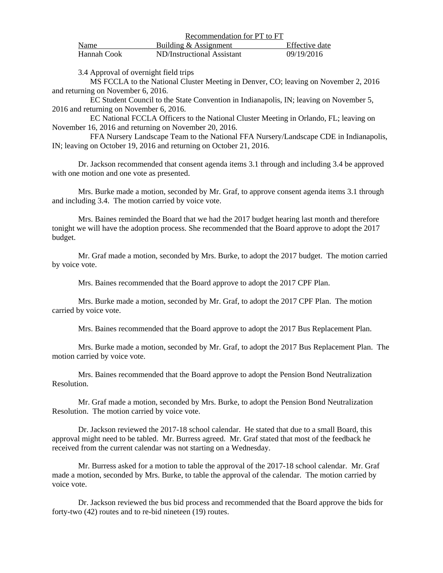|             | Recommendation for PT to FT |                |  |
|-------------|-----------------------------|----------------|--|
| Name        | Building & Assignment       | Effective date |  |
| Hannah Cook | ND/Instructional Assistant  | 09/19/2016     |  |

3.4 Approval of overnight field trips

 MS FCCLA to the National Cluster Meeting in Denver, CO; leaving on November 2, 2016 and returning on November 6, 2016.

 EC Student Council to the State Convention in Indianapolis, IN; leaving on November 5, 2016 and returning on November 6, 2016.

 EC National FCCLA Officers to the National Cluster Meeting in Orlando, FL; leaving on November 16, 2016 and returning on November 20, 2016.

 FFA Nursery Landscape Team to the National FFA Nursery/Landscape CDE in Indianapolis, IN; leaving on October 19, 2016 and returning on October 21, 2016.

 Dr. Jackson recommended that consent agenda items 3.1 through and including 3.4 be approved with one motion and one vote as presented.

 Mrs. Burke made a motion, seconded by Mr. Graf, to approve consent agenda items 3.1 through and including 3.4. The motion carried by voice vote.

 Mrs. Baines reminded the Board that we had the 2017 budget hearing last month and therefore tonight we will have the adoption process. She recommended that the Board approve to adopt the 2017 budget.

 Mr. Graf made a motion, seconded by Mrs. Burke, to adopt the 2017 budget. The motion carried by voice vote.

Mrs. Baines recommended that the Board approve to adopt the 2017 CPF Plan.

Mrs. Burke made a motion, seconded by Mr. Graf, to adopt the 2017 CPF Plan. The motion carried by voice vote.

Mrs. Baines recommended that the Board approve to adopt the 2017 Bus Replacement Plan.

Mrs. Burke made a motion, seconded by Mr. Graf, to adopt the 2017 Bus Replacement Plan. The motion carried by voice vote.

Mrs. Baines recommended that the Board approve to adopt the Pension Bond Neutralization Resolution.

Mr. Graf made a motion, seconded by Mrs. Burke, to adopt the Pension Bond Neutralization Resolution. The motion carried by voice vote.

Dr. Jackson reviewed the 2017-18 school calendar. He stated that due to a small Board, this approval might need to be tabled. Mr. Burress agreed. Mr. Graf stated that most of the feedback he received from the current calendar was not starting on a Wednesday.

Mr. Burress asked for a motion to table the approval of the 2017-18 school calendar. Mr. Graf made a motion, seconded by Mrs. Burke, to table the approval of the calendar. The motion carried by voice vote.

Dr. Jackson reviewed the bus bid process and recommended that the Board approve the bids for forty-two (42) routes and to re-bid nineteen (19) routes.